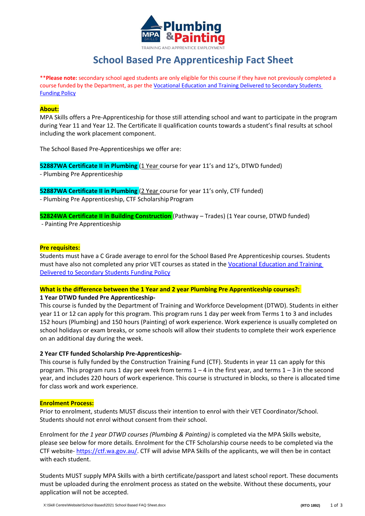

# **School Based Pre Apprenticeship Fact Sheet**

\*\***Please note:** secondary school aged students are only eligible for this course if they have not previously completed a course funded by the Department, as per th[e Vocational Education and Training Delivered to Secondary Students](https://www.dtwd.wa.gov.au/sites/default/files/uploads/dtwd-vetss-funding-policy-v2-1jan2019.pdf) [Funding Policy](https://www.dtwd.wa.gov.au/sites/default/files/uploads/dtwd-vetss-funding-policy-v2-1jan2019.pdf)

#### **About:**

MPA Skills offers a Pre-Apprenticeship for those still attending school and want to participate in the program during Year 11 and Year 12. The Certificate II qualification counts towards a student's final results at school including the work placement component.

The School Based Pre-Apprenticeships we offer are:

**52887WA Certificate II in Plumbing** (1 Year course for year 11's and 12's, DTWD funded)

- Plumbing Pre Apprenticeship

**52887WA Certificate II in Plumbing** (2 Year course for year 11's only, CTF funded)

- Plumbing Pre Apprenticeship, CTF Scholarship Program

# **52824WA Certificate II in Building Construction** (Pathway – Trades) (1 Year course, DTWD funded)

- Painting Pre Apprenticeship

#### **Pre requisites:**

Students must have a C Grade average to enrol for the School Based Pre Apprenticeship courses. Students must have also not completed any prior VET courses as stated in the [Vocational Education and Training](https://www.dtwd.wa.gov.au/sites/default/files/uploads/dtwd-vetss-funding-policy-v2-1jan2019.pdf) [Delivered to Secondary Students Funding Policy](https://www.dtwd.wa.gov.au/sites/default/files/uploads/dtwd-vetss-funding-policy-v2-1jan2019.pdf)

## **What is the difference between the 1 Year and 2 year Plumbing Pre Apprenticeship courses?:**

## **1 Year DTWD funded Pre Apprenticeship-**

This course is funded by the Department of Training and Workforce Development (DTWD). Students in either year 11 or 12 can apply for this program. This program runs 1 day per week from Terms 1 to 3 and includes 152 hours (Plumbing) and 150 hours (Painting) of work experience. Work experience is usually completed on school holidays or exam breaks, or some schools will allow their students to complete their work experience on an additional day during the week.

## **2 Year CTF funded Scholarship Pre-Apprenticeship-**

This course is fully funded by the Construction Training Fund (CTF). Students in year 11 can apply for this program. This program runs 1 day per week from terms  $1 - 4$  in the first year, and terms  $1 - 3$  in the second year, and includes 220 hours of work experience. This course is structured in blocks, so there is allocated time for class work and work experience.

## **Enrolment Process:**

Prior to enrolment, students MUST discuss their intention to enrol with their VET Coordinator/School. Students should not enrol without consent from their school.

Enrolment for *the 1 year DTWD courses (Plumbing & Painting)* is completed via the MPA Skills website, please see below for more details. Enrolment for the CTF Scholarship course needs to be completed via the CTF website- [https://ctf.wa.gov.au/.](https://ctf.wa.gov.au/) CTF will advise MPA Skills of the applicants, we will then be in contact with each student.

Students MUST supply MPA Skills with a birth certificate/passport and latest school report. These documents must be uploaded during the enrolment process as stated on the website. Without these documents, your application will not be accepted.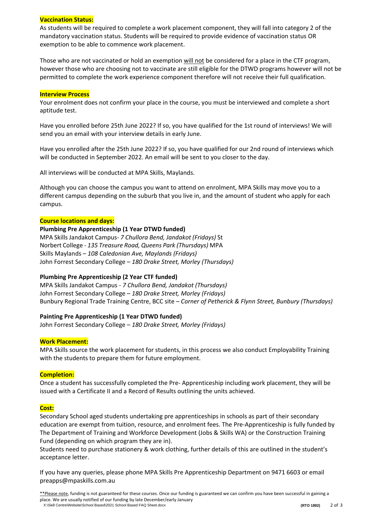# **Vaccination Status:**

As students will be required to complete a work placement component, they will fall into category 2 of the mandatory vaccination status. Students will be required to provide evidence of vaccination status OR exemption to be able to commence work placement.

Those who are not vaccinated or hold an exemption will not be considered for a place in the CTF program, however those who are choosing not to vaccinate are still eligible for the DTWD programs however will not be permitted to complete the work experience component therefore will not receive their full qualification.

#### **Interview Process**

Your enrolment does not confirm your place in the course, you must be interviewed and complete a short aptitude test.

Have you enrolled before 25th June 2022? If so, you have qualified for the 1st round of interviews! We will send you an email with your interview details in early June.

Have you enrolled after the 25th June 2022? If so, you have qualified for our 2nd round of interviews which will be conducted in September 2022. An email will be sent to you closer to the day.

All interviews will be conducted at MPA Skills, Maylands.

Although you can choose the campus you want to attend on enrolment, MPA Skills may move you to a different campus depending on the suburb that you live in, and the amount of student who apply for each campus.

#### **Course locations and days:**

#### **Plumbing Pre Apprenticeship (1 Year DTWD funded)**

MPA Skills Jandakot Campus- *7 Chullora Bend, Jandakot (Fridays)* St Norbert College - *135 Treasure Road, Queens Park (Thursdays)* MPA Skills Maylands – *108 Caledonian Ave, Maylands (Fridays)* John Forrest Secondary College – *180 Drake Street, Morley (Thursdays)*

## **Plumbing Pre Apprenticeship (2 Year CTF funded)**

MPA Skills Jandakot Campus - *7 Chullora Bend, Jandakot (Thursdays)* John Forrest Secondary College – *180 Drake Street, Morley (Fridays)* Bunbury Regional Trade Training Centre, BCC site – *Corner of Petherick & Flynn Street, Bunbury (Thursdays)*

## **Painting Pre Apprenticeship (1 Year DTWD funded)**

John Forrest Secondary College – *180 Drake Street, Morley (Fridays)*

## **Work Placement:**

MPA Skills source the work placement for students, in this process we also conduct Employability Training with the students to prepare them for future employment.

## **Completion:**

Once a student has successfully completed the Pre- Apprenticeship including work placement, they will be issued with a Certificate II and a Record of Results outlining the units achieved.

## **Cost:**

Secondary School aged students undertaking pre apprenticeships in schools as part of their secondary education are exempt from tuition, resource, and enrolment fees. The Pre-Apprenticeship is fully funded by The Department of Training and Workforce Development (Jobs & Skills WA) or the Construction Training Fund (depending on which program they are in).

Students need to purchase stationery & work clothing, further details of this are outlined in the student's acceptance letter.

If you have any queries, please phone MPA Skills Pre Apprenticeship Department on 9471 6603 or email [preapps@mpaskills.com.au](mailto:preapps@mpaskills.com.au)